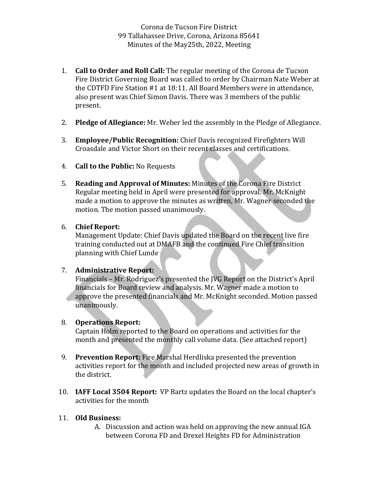- **1. Call to Order and Roll Call:** The regular meeting of the Corona de Tucson Fire District Governing Board was called to order by Chairman Nate Weber at the CDTFD Fire Station #1 at 18:11. All Board Members were in attendance, also present was Chief Simon Davis. There was 3 members of the public present.
- 2. **Pledge of Allegiance:** Mr. Weber led the assembly in the Pledge of Allegiance.
- 3. **Employee/Public Recognition:** Chief Davis recognized Firefighters Will Croasdale and Victor Short on their recent classes and certifications.
- 4. **Call to the Public:** No Requests
- 5. **Reading and Approval of Minutes:** Minutes of the Corona Fire District Regular meeting held in April were presented for approval. Mr. McKnight made a motion to approve the minutes as written, Mr. Wagner seconded the motion. The motion passed unanimously.
- 6. **Chief Report:**

Management Update: Chief Davis updated the Board on the recent live fire training conducted out at DMAFB and the continued Fire Chief transition planning with Chief Lunde

## 7. **Administrative Report:**

Financials – Mr. Rodriguez's presented the JVG Report on the District's April financials for Board review and analysis. Mr. Wagner made a motion to approve the presented financials and Mr. McKnight seconded. Motion passed unanimously. 

## 8. **Operations Report:**

Captain Holm reported to the Board on operations and activities for the month and presented the monthly call volume data. (See attached report)

- 9. **Prevention Report:** Fire Marshal Herdliska presented the prevention activities report for the month and included projected new areas of growth in the district.
- 10. **IAFF Local 3504 Report:** VP Bartz updates the Board on the local chapter's activities for the month

## 11. **Old Business:**

A. Discussion and action was held on approving the new annual IGA between Corona FD and Drexel Heights FD for Administration